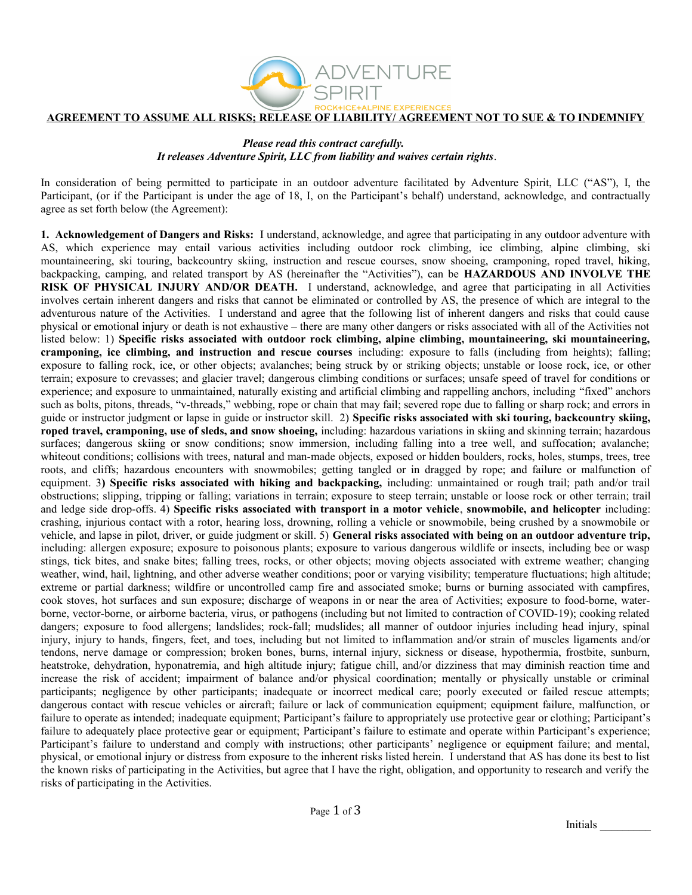

## **AGREEMENT TO ASSUME ALL RISKS; RELEASE OF LIABILITY/ AGREEMENT NOT TO SUE & TO INDEMNIFY**

## *Please read this contract carefully. It releases Adventure Spirit, LLC from liability and waives certain rights*.

In consideration of being permitted to participate in an outdoor adventure facilitated by Adventure Spirit, LLC ("AS"), I, the Participant, (or if the Participant is under the age of 18, I, on the Participant's behalf) understand, acknowledge, and contractually agree as set forth below (the Agreement):

**1. Acknowledgement of Dangers and Risks:** I understand, acknowledge, and agree that participating in any outdoor adventure with AS, which experience may entail various activities including outdoor rock climbing, ice climbing, alpine climbing, ski mountaineering, ski touring, backcountry skiing, instruction and rescue courses, snow shoeing, cramponing, roped travel, hiking, backpacking, camping, and related transport by AS (hereinafter the "Activities"), can be **HAZARDOUS AND INVOLVE THE RISK OF PHYSICAL INJURY AND/OR DEATH.** I understand, acknowledge, and agree that participating in all Activities involves certain inherent dangers and risks that cannot be eliminated or controlled by AS, the presence of which are integral to the adventurous nature of the Activities. I understand and agree that the following list of inherent dangers and risks that could cause physical or emotional injury or death is not exhaustive – there are many other dangers or risks associated with all of the Activities not listed below: 1) **Specific risks associated with outdoor rock climbing, alpine climbing, mountaineering, ski mountaineering, cramponing, ice climbing, and instruction and rescue courses** including: exposure to falls (including from heights); falling; exposure to falling rock, ice, or other objects; avalanches; being struck by or striking objects; unstable or loose rock, ice, or other terrain; exposure to crevasses; and glacier travel; dangerous climbing conditions or surfaces; unsafe speed of travel for conditions or experience; and exposure to unmaintained, naturally existing and artificial climbing and rappelling anchors, including "fixed" anchors such as bolts, pitons, threads, "v-threads," webbing, rope or chain that may fail; severed rope due to falling or sharp rock; and errors in guide or instructor judgment or lapse in guide or instructor skill. 2) **Specific risks associated with ski touring, backcountry skiing, roped travel, cramponing, use of sleds, and snow shoeing,** including: hazardous variations in skiing and skinning terrain; hazardous surfaces; dangerous skiing or snow conditions; snow immersion, including falling into a tree well, and suffocation; avalanche; whiteout conditions; collisions with trees, natural and man-made objects, exposed or hidden boulders, rocks, holes, stumps, trees, tree roots, and cliffs; hazardous encounters with snowmobiles; getting tangled or in dragged by rope; and failure or malfunction of equipment. 3**) Specific risks associated with hiking and backpacking,** including: unmaintained or rough trail; path and/or trail obstructions; slipping, tripping or falling; variations in terrain; exposure to steep terrain; unstable or loose rock or other terrain; trail and ledge side drop-offs. 4) **Specific risks associated with transport in a motor vehicle**, **snowmobile, and helicopter** including: crashing, injurious contact with a rotor, hearing loss, drowning, rolling a vehicle or snowmobile, being crushed by a snowmobile or vehicle, and lapse in pilot, driver, or guide judgment or skill. 5) **General risks associated with being on an outdoor adventure trip,** including: allergen exposure; exposure to poisonous plants; exposure to various dangerous wildlife or insects, including bee or wasp stings, tick bites, and snake bites; falling trees, rocks, or other objects; moving objects associated with extreme weather; changing weather, wind, hail, lightning, and other adverse weather conditions; poor or varying visibility; temperature fluctuations; high altitude; extreme or partial darkness; wildfire or uncontrolled camp fire and associated smoke; burns or burning associated with campfires, cook stoves, hot surfaces and sun exposure; discharge of weapons in or near the area of Activities; exposure to food-borne, waterborne, vector-borne, or airborne bacteria, virus, or pathogens (including but not limited to contraction of COVID-19); cooking related dangers; exposure to food allergens; landslides; rock-fall; mudslides; all manner of outdoor injuries including head injury, spinal injury, injury to hands, fingers, feet, and toes, including but not limited to inflammation and/or strain of muscles ligaments and/or tendons, nerve damage or compression; broken bones, burns, internal injury, sickness or disease, hypothermia, frostbite, sunburn, heatstroke, dehydration, hyponatremia, and high altitude injury; fatigue chill, and/or dizziness that may diminish reaction time and increase the risk of accident; impairment of balance and/or physical coordination; mentally or physically unstable or criminal participants; negligence by other participants; inadequate or incorrect medical care; poorly executed or failed rescue attempts; dangerous contact with rescue vehicles or aircraft; failure or lack of communication equipment; equipment failure, malfunction, or failure to operate as intended; inadequate equipment; Participant's failure to appropriately use protective gear or clothing; Participant's failure to adequately place protective gear or equipment; Participant's failure to estimate and operate within Participant's experience; Participant's failure to understand and comply with instructions; other participants' negligence or equipment failure; and mental, physical, or emotional injury or distress from exposure to the inherent risks listed herein. I understand that AS has done its best to list the known risks of participating in the Activities, but agree that I have the right, obligation, and opportunity to research and verify the risks of participating in the Activities.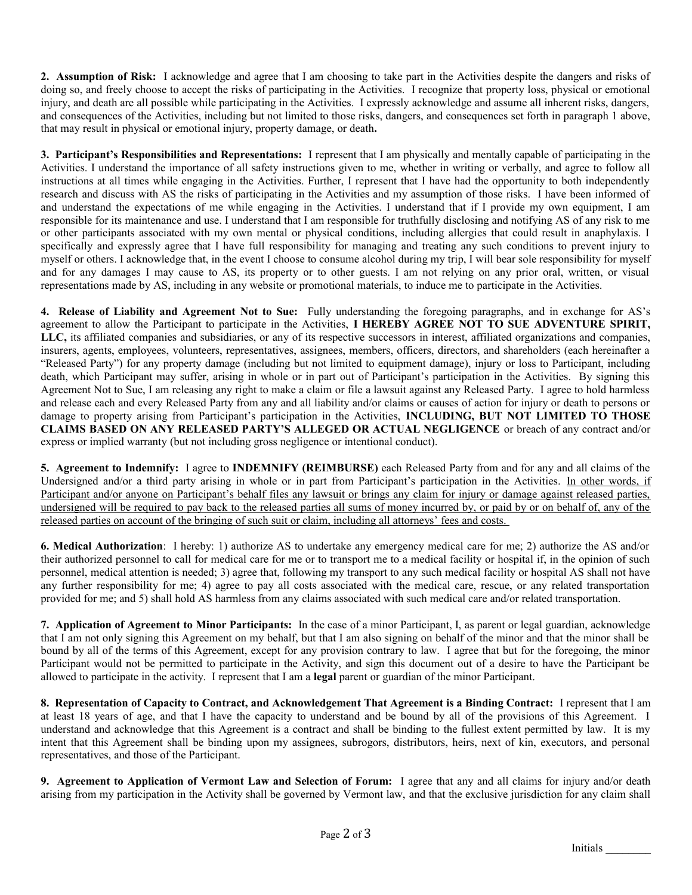**2. Assumption of Risk:** I acknowledge and agree that I am choosing to take part in the Activities despite the dangers and risks of doing so, and freely choose to accept the risks of participating in the Activities. I recognize that property loss, physical or emotional injury, and death are all possible while participating in the Activities. I expressly acknowledge and assume all inherent risks, dangers, and consequences of the Activities, including but not limited to those risks, dangers, and consequences set forth in paragraph 1 above, that may result in physical or emotional injury, property damage, or death**.** 

**3. Participant's Responsibilities and Representations:** I represent that I am physically and mentally capable of participating in the Activities. I understand the importance of all safety instructions given to me, whether in writing or verbally, and agree to follow all instructions at all times while engaging in the Activities. Further, I represent that I have had the opportunity to both independently research and discuss with AS the risks of participating in the Activities and my assumption of those risks. I have been informed of and understand the expectations of me while engaging in the Activities. I understand that if I provide my own equipment, I am responsible for its maintenance and use. I understand that I am responsible for truthfully disclosing and notifying AS of any risk to me or other participants associated with my own mental or physical conditions, including allergies that could result in anaphylaxis. I specifically and expressly agree that I have full responsibility for managing and treating any such conditions to prevent injury to myself or others. I acknowledge that, in the event I choose to consume alcohol during my trip, I will bear sole responsibility for myself and for any damages I may cause to AS, its property or to other guests. I am not relying on any prior oral, written, or visual representations made by AS, including in any website or promotional materials, to induce me to participate in the Activities.

**4. Release of Liability and Agreement Not to Sue:** Fully understanding the foregoing paragraphs, and in exchange for AS's agreement to allow the Participant to participate in the Activities, **I HEREBY AGREE NOT TO SUE ADVENTURE SPIRIT, LLC,** its affiliated companies and subsidiaries, or any of its respective successors in interest, affiliated organizations and companies, insurers, agents, employees, volunteers, representatives, assignees, members, officers, directors, and shareholders (each hereinafter a "Released Party") for any property damage (including but not limited to equipment damage), injury or loss to Participant, including death, which Participant may suffer, arising in whole or in part out of Participant's participation in the Activities. By signing this Agreement Not to Sue, I am releasing any right to make a claim or file a lawsuit against any Released Party. I agree to hold harmless and release each and every Released Party from any and all liability and/or claims or causes of action for injury or death to persons or damage to property arising from Participant's participation in the Activities, **INCLUDING, BUT NOT LIMITED TO THOSE CLAIMS BASED ON ANY RELEASED PARTY'S ALLEGED OR ACTUAL NEGLIGENCE** or breach of any contract and/or express or implied warranty (but not including gross negligence or intentional conduct).

**5. Agreement to Indemnify:** I agree to **INDEMNIFY (REIMBURSE)** each Released Party from and for any and all claims of the Undersigned and/or a third party arising in whole or in part from Participant's participation in the Activities. In other words, if Participant and/or anyone on Participant's behalf files any lawsuit or brings any claim for injury or damage against released parties, undersigned will be required to pay back to the released parties all sums of money incurred by, or paid by or on behalf of, any of the released parties on account of the bringing of such suit or claim, including all attorneys' fees and costs.

**6. Medical Authorization**: I hereby: 1) authorize AS to undertake any emergency medical care for me; 2) authorize the AS and/or their authorized personnel to call for medical care for me or to transport me to a medical facility or hospital if, in the opinion of such personnel, medical attention is needed; 3) agree that, following my transport to any such medical facility or hospital AS shall not have any further responsibility for me; 4) agree to pay all costs associated with the medical care, rescue, or any related transportation provided for me; and 5) shall hold AS harmless from any claims associated with such medical care and/or related transportation.

**7. Application of Agreement to Minor Participants:** In the case of a minor Participant, I, as parent or legal guardian, acknowledge that I am not only signing this Agreement on my behalf, but that I am also signing on behalf of the minor and that the minor shall be bound by all of the terms of this Agreement, except for any provision contrary to law. I agree that but for the foregoing, the minor Participant would not be permitted to participate in the Activity, and sign this document out of a desire to have the Participant be allowed to participate in the activity. I represent that I am a **legal** parent or guardian of the minor Participant.

**8. Representation of Capacity to Contract, and Acknowledgement That Agreement is a Binding Contract:** I represent that I am at least 18 years of age, and that I have the capacity to understand and be bound by all of the provisions of this Agreement. I understand and acknowledge that this Agreement is a contract and shall be binding to the fullest extent permitted by law. It is my intent that this Agreement shall be binding upon my assignees, subrogors, distributors, heirs, next of kin, executors, and personal representatives, and those of the Participant.

**9. Agreement to Application of Vermont Law and Selection of Forum:** I agree that any and all claims for injury and/or death arising from my participation in the Activity shall be governed by Vermont law, and that the exclusive jurisdiction for any claim shall